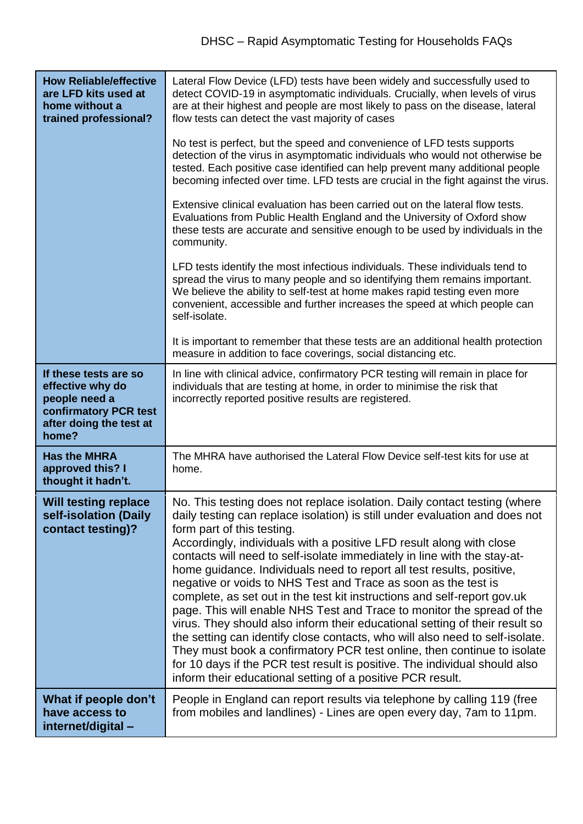| <b>How Reliable/effective</b><br>are LFD kits used at<br>home without a<br>trained professional?                        | Lateral Flow Device (LFD) tests have been widely and successfully used to<br>detect COVID-19 in asymptomatic individuals. Crucially, when levels of virus<br>are at their highest and people are most likely to pass on the disease, lateral<br>flow tests can detect the vast majority of cases                                                                                                                                                                                                                                                                                                                                                                                                                                                                                                                                                                                                                                                                                                                                  |
|-------------------------------------------------------------------------------------------------------------------------|-----------------------------------------------------------------------------------------------------------------------------------------------------------------------------------------------------------------------------------------------------------------------------------------------------------------------------------------------------------------------------------------------------------------------------------------------------------------------------------------------------------------------------------------------------------------------------------------------------------------------------------------------------------------------------------------------------------------------------------------------------------------------------------------------------------------------------------------------------------------------------------------------------------------------------------------------------------------------------------------------------------------------------------|
|                                                                                                                         | No test is perfect, but the speed and convenience of LFD tests supports<br>detection of the virus in asymptomatic individuals who would not otherwise be<br>tested. Each positive case identified can help prevent many additional people<br>becoming infected over time. LFD tests are crucial in the fight against the virus.                                                                                                                                                                                                                                                                                                                                                                                                                                                                                                                                                                                                                                                                                                   |
|                                                                                                                         | Extensive clinical evaluation has been carried out on the lateral flow tests.<br>Evaluations from Public Health England and the University of Oxford show<br>these tests are accurate and sensitive enough to be used by individuals in the<br>community.                                                                                                                                                                                                                                                                                                                                                                                                                                                                                                                                                                                                                                                                                                                                                                         |
|                                                                                                                         | LFD tests identify the most infectious individuals. These individuals tend to<br>spread the virus to many people and so identifying them remains important.<br>We believe the ability to self-test at home makes rapid testing even more<br>convenient, accessible and further increases the speed at which people can<br>self-isolate.                                                                                                                                                                                                                                                                                                                                                                                                                                                                                                                                                                                                                                                                                           |
|                                                                                                                         | It is important to remember that these tests are an additional health protection<br>measure in addition to face coverings, social distancing etc.                                                                                                                                                                                                                                                                                                                                                                                                                                                                                                                                                                                                                                                                                                                                                                                                                                                                                 |
| If these tests are so<br>effective why do<br>people need a<br>confirmatory PCR test<br>after doing the test at<br>home? | In line with clinical advice, confirmatory PCR testing will remain in place for<br>individuals that are testing at home, in order to minimise the risk that<br>incorrectly reported positive results are registered.                                                                                                                                                                                                                                                                                                                                                                                                                                                                                                                                                                                                                                                                                                                                                                                                              |
| <b>Has the MHRA</b><br>approved this? I<br>thought it hadn't.                                                           | The MHRA have authorised the Lateral Flow Device self-test kits for use at<br>home.                                                                                                                                                                                                                                                                                                                                                                                                                                                                                                                                                                                                                                                                                                                                                                                                                                                                                                                                               |
| <b>Will testing replace</b><br>self-isolation (Daily<br>contact testing)?                                               | No. This testing does not replace isolation. Daily contact testing (where<br>daily testing can replace isolation) is still under evaluation and does not<br>form part of this testing.<br>Accordingly, individuals with a positive LFD result along with close<br>contacts will need to self-isolate immediately in line with the stay-at-<br>home guidance. Individuals need to report all test results, positive,<br>negative or voids to NHS Test and Trace as soon as the test is<br>complete, as set out in the test kit instructions and self-report gov.uk<br>page. This will enable NHS Test and Trace to monitor the spread of the<br>virus. They should also inform their educational setting of their result so<br>the setting can identify close contacts, who will also need to self-isolate.<br>They must book a confirmatory PCR test online, then continue to isolate<br>for 10 days if the PCR test result is positive. The individual should also<br>inform their educational setting of a positive PCR result. |
| What if people don't<br>have access to<br>internet/digital-                                                             | People in England can report results via telephone by calling 119 (free<br>from mobiles and landlines) - Lines are open every day, 7am to 11pm.                                                                                                                                                                                                                                                                                                                                                                                                                                                                                                                                                                                                                                                                                                                                                                                                                                                                                   |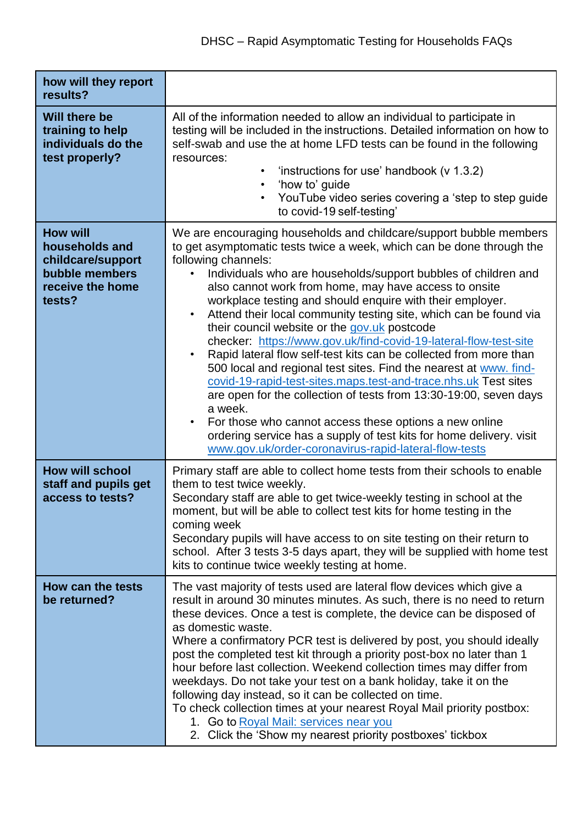| how will they report<br>results?                                                                       |                                                                                                                                                                                                                                                                                                                                                                                                                                                                                                                                                                                                                                                                                                                                                                                                                                                                                                                                                                                                                          |
|--------------------------------------------------------------------------------------------------------|--------------------------------------------------------------------------------------------------------------------------------------------------------------------------------------------------------------------------------------------------------------------------------------------------------------------------------------------------------------------------------------------------------------------------------------------------------------------------------------------------------------------------------------------------------------------------------------------------------------------------------------------------------------------------------------------------------------------------------------------------------------------------------------------------------------------------------------------------------------------------------------------------------------------------------------------------------------------------------------------------------------------------|
| Will there be<br>training to help<br>individuals do the<br>test properly?                              | All of the information needed to allow an individual to participate in<br>testing will be included in the instructions. Detailed information on how to<br>self-swab and use the at home LFD tests can be found in the following<br>resources:<br>'instructions for use' handbook (v 1.3.2)<br>$\bullet$<br>'how to' guide<br>$\bullet$<br>YouTube video series covering a 'step to step guide<br>$\bullet$<br>to covid-19 self-testing'                                                                                                                                                                                                                                                                                                                                                                                                                                                                                                                                                                                  |
| <b>How will</b><br>households and<br>childcare/support<br>bubble members<br>receive the home<br>tests? | We are encouraging households and childcare/support bubble members<br>to get asymptomatic tests twice a week, which can be done through the<br>following channels:<br>Individuals who are households/support bubbles of children and<br>also cannot work from home, may have access to onsite<br>workplace testing and should enquire with their employer.<br>Attend their local community testing site, which can be found via<br>$\bullet$<br>their council website or the gov.uk postcode<br>checker: https://www.gov.uk/find-covid-19-lateral-flow-test-site<br>Rapid lateral flow self-test kits can be collected from more than<br>$\bullet$<br>500 local and regional test sites. Find the nearest at www. find-<br>covid-19-rapid-test-sites.maps.test-and-trace.nhs.uk Test sites<br>are open for the collection of tests from 13:30-19:00, seven days<br>a week.<br>For those who cannot access these options a new online<br>$\bullet$<br>ordering service has a supply of test kits for home delivery. visit |
| <b>How will school</b><br>staff and pupils get<br>access to tests?                                     | www.gov.uk/order-coronavirus-rapid-lateral-flow-tests<br>Primary staff are able to collect home tests from their schools to enable<br>them to test twice weekly.<br>Secondary staff are able to get twice-weekly testing in school at the<br>moment, but will be able to collect test kits for home testing in the<br>coming week<br>Secondary pupils will have access to on site testing on their return to<br>school. After 3 tests 3-5 days apart, they will be supplied with home test<br>kits to continue twice weekly testing at home.                                                                                                                                                                                                                                                                                                                                                                                                                                                                             |
| <b>How can the tests</b><br>be returned?                                                               | The vast majority of tests used are lateral flow devices which give a<br>result in around 30 minutes minutes. As such, there is no need to return<br>these devices. Once a test is complete, the device can be disposed of<br>as domestic waste.<br>Where a confirmatory PCR test is delivered by post, you should ideally<br>post the completed test kit through a priority post-box no later than 1<br>hour before last collection. Weekend collection times may differ from<br>weekdays. Do not take your test on a bank holiday, take it on the<br>following day instead, so it can be collected on time.<br>To check collection times at your nearest Royal Mail priority postbox:<br>1. Go to Royal Mail: services near you<br>2. Click the 'Show my nearest priority postboxes' tickbox                                                                                                                                                                                                                           |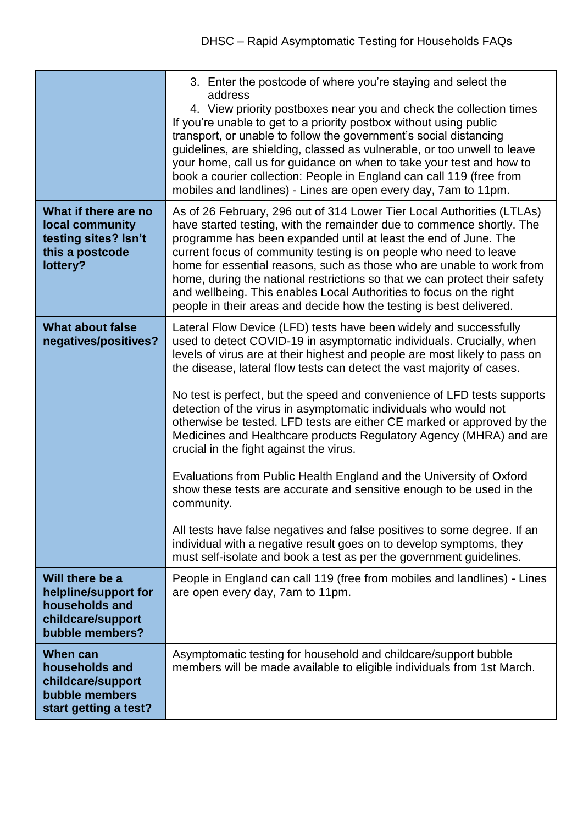|                                                                                                   | 3. Enter the postcode of where you're staying and select the<br>address<br>4. View priority postboxes near you and check the collection times<br>If you're unable to get to a priority postbox without using public<br>transport, or unable to follow the government's social distancing<br>guidelines, are shielding, classed as vulnerable, or too unwell to leave<br>your home, call us for guidance on when to take your test and how to<br>book a courier collection: People in England can call 119 (free from<br>mobiles and landlines) - Lines are open every day, 7am to 11pm.                                                                                                                                                                                                                                                                                                                                                                                                                                            |
|---------------------------------------------------------------------------------------------------|------------------------------------------------------------------------------------------------------------------------------------------------------------------------------------------------------------------------------------------------------------------------------------------------------------------------------------------------------------------------------------------------------------------------------------------------------------------------------------------------------------------------------------------------------------------------------------------------------------------------------------------------------------------------------------------------------------------------------------------------------------------------------------------------------------------------------------------------------------------------------------------------------------------------------------------------------------------------------------------------------------------------------------|
| What if there are no<br>local community<br>testing sites? Isn't<br>this a postcode<br>lottery?    | As of 26 February, 296 out of 314 Lower Tier Local Authorities (LTLAs)<br>have started testing, with the remainder due to commence shortly. The<br>programme has been expanded until at least the end of June. The<br>current focus of community testing is on people who need to leave<br>home for essential reasons, such as those who are unable to work from<br>home, during the national restrictions so that we can protect their safety<br>and wellbeing. This enables Local Authorities to focus on the right<br>people in their areas and decide how the testing is best delivered.                                                                                                                                                                                                                                                                                                                                                                                                                                       |
| <b>What about false</b><br>negatives/positives?                                                   | Lateral Flow Device (LFD) tests have been widely and successfully<br>used to detect COVID-19 in asymptomatic individuals. Crucially, when<br>levels of virus are at their highest and people are most likely to pass on<br>the disease, lateral flow tests can detect the vast majority of cases.<br>No test is perfect, but the speed and convenience of LFD tests supports<br>detection of the virus in asymptomatic individuals who would not<br>otherwise be tested. LFD tests are either CE marked or approved by the<br>Medicines and Healthcare products Regulatory Agency (MHRA) and are<br>crucial in the fight against the virus.<br>Evaluations from Public Health England and the University of Oxford<br>show these tests are accurate and sensitive enough to be used in the<br>community.<br>All tests have false negatives and false positives to some degree. If an<br>individual with a negative result goes on to develop symptoms, they<br>must self-isolate and book a test as per the government guidelines. |
| Will there be a<br>helpline/support for<br>households and<br>childcare/support<br>bubble members? | People in England can call 119 (free from mobiles and landlines) - Lines<br>are open every day, 7am to 11pm.                                                                                                                                                                                                                                                                                                                                                                                                                                                                                                                                                                                                                                                                                                                                                                                                                                                                                                                       |
| When can<br>households and<br>childcare/support<br>bubble members<br>start getting a test?        | Asymptomatic testing for household and childcare/support bubble<br>members will be made available to eligible individuals from 1st March.                                                                                                                                                                                                                                                                                                                                                                                                                                                                                                                                                                                                                                                                                                                                                                                                                                                                                          |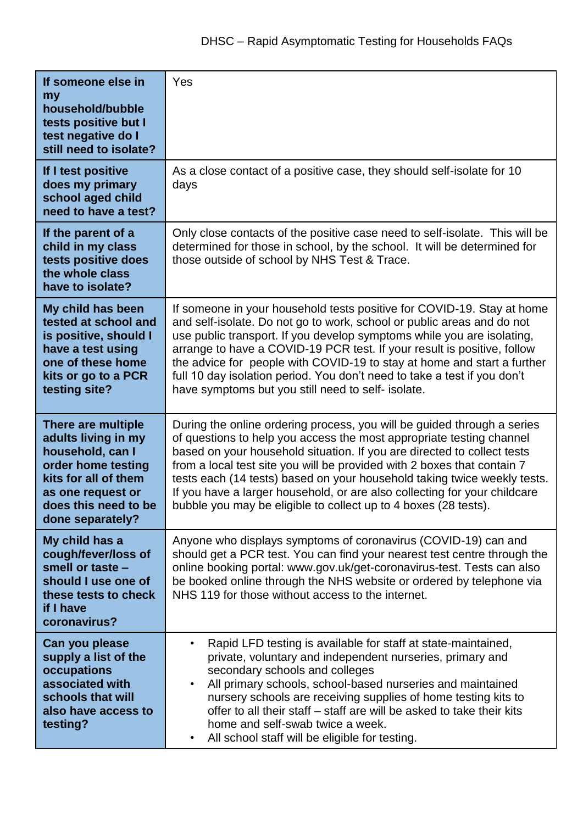| If someone else in<br>my<br>household/bubble<br>tests positive but I<br>test negative do I<br>still need to isolate?                                                         | Yes                                                                                                                                                                                                                                                                                                                                                                                                                                                                                                                               |
|------------------------------------------------------------------------------------------------------------------------------------------------------------------------------|-----------------------------------------------------------------------------------------------------------------------------------------------------------------------------------------------------------------------------------------------------------------------------------------------------------------------------------------------------------------------------------------------------------------------------------------------------------------------------------------------------------------------------------|
| If I test positive<br>does my primary<br>school aged child<br>need to have a test?                                                                                           | As a close contact of a positive case, they should self-isolate for 10<br>days                                                                                                                                                                                                                                                                                                                                                                                                                                                    |
| If the parent of a<br>child in my class<br>tests positive does<br>the whole class<br>have to isolate?                                                                        | Only close contacts of the positive case need to self-isolate. This will be<br>determined for those in school, by the school. It will be determined for<br>those outside of school by NHS Test & Trace.                                                                                                                                                                                                                                                                                                                           |
| My child has been<br>tested at school and<br>is positive, should I<br>have a test using<br>one of these home<br>kits or go to a PCR<br>testing site?                         | If someone in your household tests positive for COVID-19. Stay at home<br>and self-isolate. Do not go to work, school or public areas and do not<br>use public transport. If you develop symptoms while you are isolating,<br>arrange to have a COVID-19 PCR test. If your result is positive, follow<br>the advice for people with COVID-19 to stay at home and start a further<br>full 10 day isolation period. You don't need to take a test if you don't<br>have symptoms but you still need to self- isolate.                |
| There are multiple<br>adults living in my<br>household, can I<br>order home testing<br>kits for all of them<br>as one request or<br>does this need to be<br>done separately? | During the online ordering process, you will be guided through a series<br>of questions to help you access the most appropriate testing channel<br>based on your household situation. If you are directed to collect tests<br>from a local test site you will be provided with 2 boxes that contain 7<br>tests each (14 tests) based on your household taking twice weekly tests.<br>If you have a larger household, or are also collecting for your childcare<br>bubble you may be eligible to collect up to 4 boxes (28 tests). |
| My child has a<br>cough/fever/loss of<br>smell or taste -<br>should I use one of<br>these tests to check<br>if I have<br>coronavirus?                                        | Anyone who displays symptoms of coronavirus (COVID-19) can and<br>should get a PCR test. You can find your nearest test centre through the<br>online booking portal: www.gov.uk/get-coronavirus-test. Tests can also<br>be booked online through the NHS website or ordered by telephone via<br>NHS 119 for those without access to the internet.                                                                                                                                                                                 |
| Can you please<br>supply a list of the<br>occupations<br>associated with<br>schools that will<br>also have access to<br>testing?                                             | Rapid LFD testing is available for staff at state-maintained,<br>$\bullet$<br>private, voluntary and independent nurseries, primary and<br>secondary schools and colleges<br>All primary schools, school-based nurseries and maintained<br>$\bullet$<br>nursery schools are receiving supplies of home testing kits to<br>offer to all their staff – staff are will be asked to take their kits<br>home and self-swab twice a week.<br>All school staff will be eligible for testing.<br>$\bullet$                                |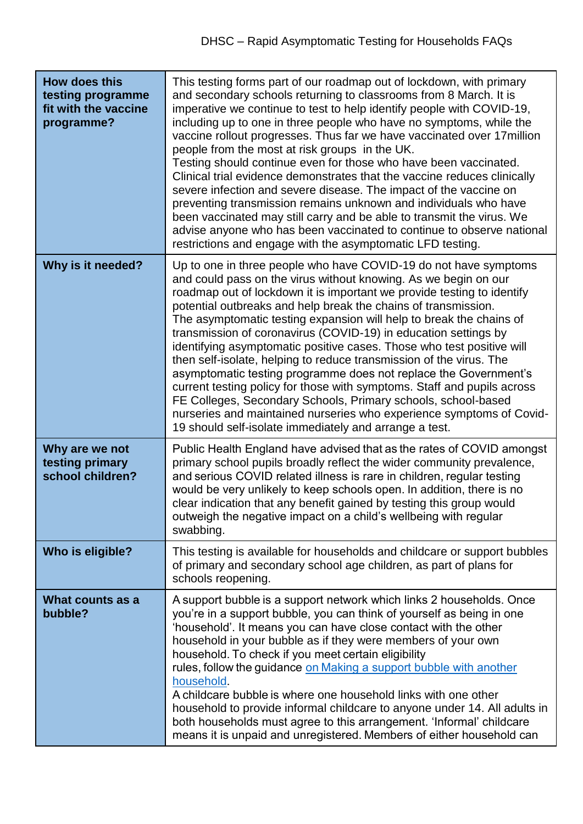| <b>How does this</b><br>testing programme<br>fit with the vaccine<br>programme? | This testing forms part of our roadmap out of lockdown, with primary<br>and secondary schools returning to classrooms from 8 March. It is<br>imperative we continue to test to help identify people with COVID-19,<br>including up to one in three people who have no symptoms, while the<br>vaccine rollout progresses. Thus far we have vaccinated over 17 million<br>people from the most at risk groups in the UK.<br>Testing should continue even for those who have been vaccinated.<br>Clinical trial evidence demonstrates that the vaccine reduces clinically<br>severe infection and severe disease. The impact of the vaccine on<br>preventing transmission remains unknown and individuals who have<br>been vaccinated may still carry and be able to transmit the virus. We<br>advise anyone who has been vaccinated to continue to observe national<br>restrictions and engage with the asymptomatic LFD testing. |
|---------------------------------------------------------------------------------|---------------------------------------------------------------------------------------------------------------------------------------------------------------------------------------------------------------------------------------------------------------------------------------------------------------------------------------------------------------------------------------------------------------------------------------------------------------------------------------------------------------------------------------------------------------------------------------------------------------------------------------------------------------------------------------------------------------------------------------------------------------------------------------------------------------------------------------------------------------------------------------------------------------------------------|
| Why is it needed?                                                               | Up to one in three people who have COVID-19 do not have symptoms<br>and could pass on the virus without knowing. As we begin on our<br>roadmap out of lockdown it is important we provide testing to identify<br>potential outbreaks and help break the chains of transmission.<br>The asymptomatic testing expansion will help to break the chains of<br>transmission of coronavirus (COVID-19) in education settings by<br>identifying asymptomatic positive cases. Those who test positive will<br>then self-isolate, helping to reduce transmission of the virus. The<br>asymptomatic testing programme does not replace the Government's<br>current testing policy for those with symptoms. Staff and pupils across<br>FE Colleges, Secondary Schools, Primary schools, school-based<br>nurseries and maintained nurseries who experience symptoms of Covid-<br>19 should self-isolate immediately and arrange a test.     |
| Why are we not<br>testing primary<br>school children?                           | Public Health England have advised that as the rates of COVID amongst<br>primary school pupils broadly reflect the wider community prevalence,<br>and serious COVID related illness is rare in children, regular testing<br>would be very unlikely to keep schools open. In addition, there is no<br>clear indication that any benefit gained by testing this group would<br>outweigh the negative impact on a child's wellbeing with regular<br>swabbing.                                                                                                                                                                                                                                                                                                                                                                                                                                                                      |
| Who is eligible?                                                                | This testing is available for households and childcare or support bubbles<br>of primary and secondary school age children, as part of plans for<br>schools reopening.                                                                                                                                                                                                                                                                                                                                                                                                                                                                                                                                                                                                                                                                                                                                                           |
| What counts as a<br>bubble?                                                     | A support bubble is a support network which links 2 households. Once<br>you're in a support bubble, you can think of yourself as being in one<br>'household'. It means you can have close contact with the other<br>household in your bubble as if they were members of your own<br>household. To check if you meet certain eligibility<br>rules, follow the guidance on Making a support bubble with another<br>household.<br>A childcare bubble is where one household links with one other<br>household to provide informal childcare to anyone under 14. All adults in<br>both households must agree to this arrangement. 'Informal' childcare<br>means it is unpaid and unregistered. Members of either household can                                                                                                                                                                                                      |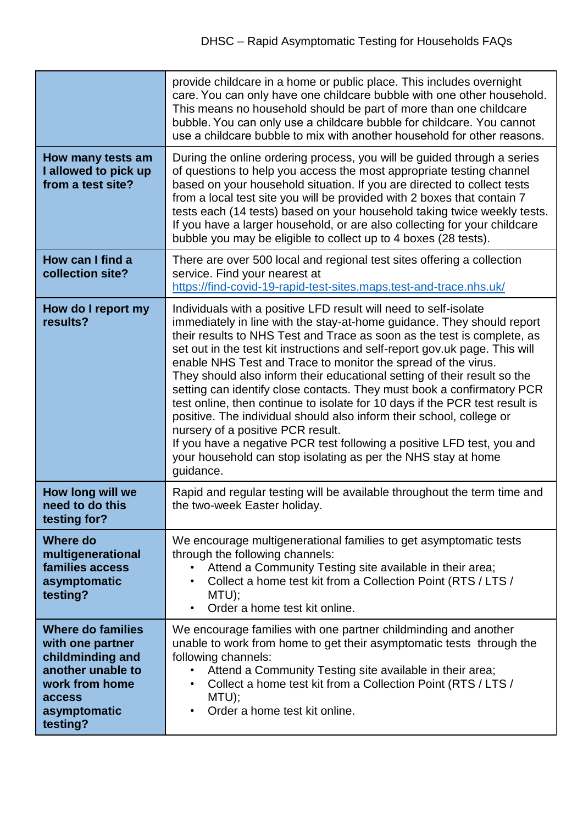|                                                                                                                                                      | provide childcare in a home or public place. This includes overnight<br>care. You can only have one childcare bubble with one other household.<br>This means no household should be part of more than one childcare<br>bubble. You can only use a childcare bubble for childcare. You cannot<br>use a childcare bubble to mix with another household for other reasons.                                                                                                                                                                                                                                                                                                                                                                                                                                                                                                         |
|------------------------------------------------------------------------------------------------------------------------------------------------------|---------------------------------------------------------------------------------------------------------------------------------------------------------------------------------------------------------------------------------------------------------------------------------------------------------------------------------------------------------------------------------------------------------------------------------------------------------------------------------------------------------------------------------------------------------------------------------------------------------------------------------------------------------------------------------------------------------------------------------------------------------------------------------------------------------------------------------------------------------------------------------|
| How many tests am<br>I allowed to pick up<br>from a test site?                                                                                       | During the online ordering process, you will be guided through a series<br>of questions to help you access the most appropriate testing channel<br>based on your household situation. If you are directed to collect tests<br>from a local test site you will be provided with 2 boxes that contain 7<br>tests each (14 tests) based on your household taking twice weekly tests.<br>If you have a larger household, or are also collecting for your childcare<br>bubble you may be eligible to collect up to 4 boxes (28 tests).                                                                                                                                                                                                                                                                                                                                               |
| How can I find a<br>collection site?                                                                                                                 | There are over 500 local and regional test sites offering a collection<br>service. Find your nearest at<br>https://find-covid-19-rapid-test-sites.maps.test-and-trace.nhs.uk/                                                                                                                                                                                                                                                                                                                                                                                                                                                                                                                                                                                                                                                                                                   |
| How do I report my<br>results?                                                                                                                       | Individuals with a positive LFD result will need to self-isolate<br>immediately in line with the stay-at-home guidance. They should report<br>their results to NHS Test and Trace as soon as the test is complete, as<br>set out in the test kit instructions and self-report gov.uk page. This will<br>enable NHS Test and Trace to monitor the spread of the virus.<br>They should also inform their educational setting of their result so the<br>setting can identify close contacts. They must book a confirmatory PCR<br>test online, then continue to isolate for 10 days if the PCR test result is<br>positive. The individual should also inform their school, college or<br>nursery of a positive PCR result.<br>If you have a negative PCR test following a positive LFD test, you and<br>your household can stop isolating as per the NHS stay at home<br>guidance. |
| How long will we<br>need to do this<br>testing for?                                                                                                  | Rapid and regular testing will be available throughout the term time and<br>the two-week Easter holiday.                                                                                                                                                                                                                                                                                                                                                                                                                                                                                                                                                                                                                                                                                                                                                                        |
| <b>Where do</b><br>multigenerational<br>families access<br>asymptomatic<br>testing?                                                                  | We encourage multigenerational families to get asymptomatic tests<br>through the following channels:<br>Attend a Community Testing site available in their area;<br>Collect a home test kit from a Collection Point (RTS / LTS /<br>٠<br>$MTU$ );<br>Order a home test kit online.<br>$\bullet$                                                                                                                                                                                                                                                                                                                                                                                                                                                                                                                                                                                 |
| <b>Where do families</b><br>with one partner<br>childminding and<br>another unable to<br>work from home<br><b>access</b><br>asymptomatic<br>testing? | We encourage families with one partner childminding and another<br>unable to work from home to get their asymptomatic tests through the<br>following channels:<br>Attend a Community Testing site available in their area;<br>Collect a home test kit from a Collection Point (RTS / LTS /<br>٠<br>MTU);<br>Order a home test kit online.<br>$\bullet$                                                                                                                                                                                                                                                                                                                                                                                                                                                                                                                          |